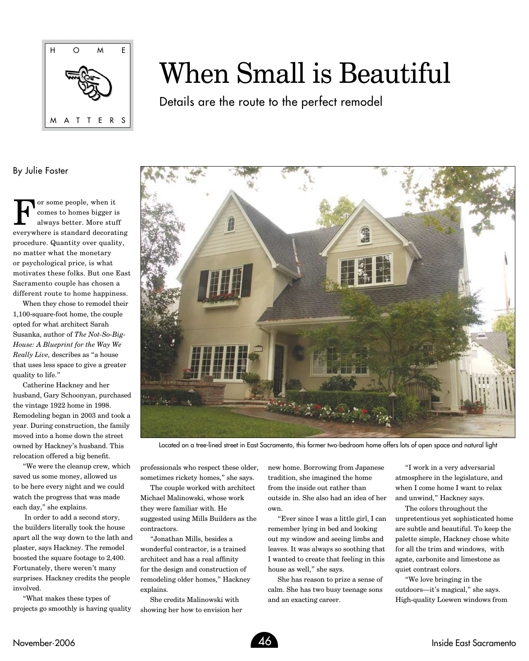

## When Small is Beautiful

Details are the route to the perfect remodel

## By Julie Foster

For some people, when it<br>comes to homes bigger is<br>always better. More stud comes to homes bigger is always better. More stuff everywhere is standard decorating procedure. Quantity over quality, no matter what the monetary or psychological price, is what motivates these folks. But one East Sacramento couple has chosen a different route to home happiness.

When they chose to remodel their 1,100-square-foot home, the couple opted for what architect Sarah Susanka, author of *The Not-So-Big-House: A Blueprint for the Way We Really Live,* describes as "a house that uses less space to give a greater quality to life."

Catherine Hackney and her husband, Gary Schoonyan, purchased the vintage 1922 home in 1998. Remodeling began in 2003 and took a year. During construction, the family moved into a home down the street owned by Hackney's husband. This relocation offered a big benefit.

"We were the cleanup crew, which saved us some money, allowed us to be here every night and we could watch the progress that was made each day," she explains.

 In order to add a second story, the builders literally took the house apart all the way down to the lath and plaster, says Hackney. The remodel boosted the square footage to 2,400. Fortunately, there weren't many surprises. Hackney credits the people involved.

"What makes these types of projects go smoothly is having quality



Located on a tree-lined street in East Sacramento, this former two-bedroom home offers lots of open space and natural light

professionals who respect these older, sometimes rickety homes," she says.

The couple worked with architect Michael Malinowski, whose work they were familiar with. He suggested using Mills Builders as the contractors.

"Jonathan Mills, besides a wonderful contractor, is a trained architect and has a real affinity for the design and construction of remodeling older homes," Hackney explains.

She credits Malinowski with showing her how to envision her new home. Borrowing from Japanese tradition, she imagined the home from the inside out rather than outside in. She also had an idea of her own.

"Ever since I was a little girl, I can remember lying in bed and looking out my window and seeing limbs and leaves. It was always so soothing that I wanted to create that feeling in this house as well," she says.

She has reason to prize a sense of calm. She has two busy teenage sons and an exacting career.

"I work in a very adversarial atmosphere in the legislature, and when I come home I want to relax and unwind," Hackney says.

The colors throughout the unpretentious yet sophisticated home are subtle and beautiful. To keep the palette simple, Hackney chose white for all the trim and windows, with agate, carbonite and limestone as quiet contrast colors.

"We love bringing in the outdoors—it's magical," she says. High-quality Loewen windows from